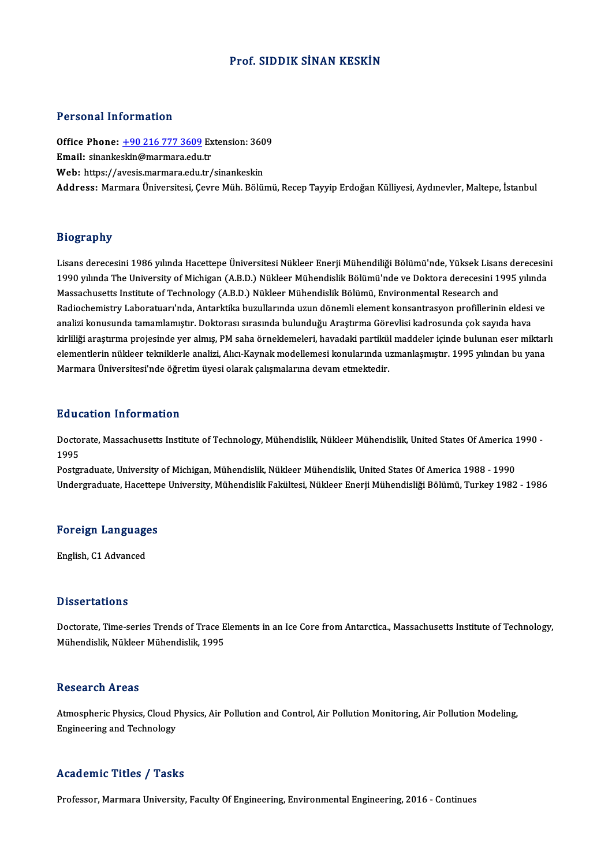## Prof. SIDDIK SİNAN KESKİN

## Personal Information

Office Phone: +90 216 777 3609Extension:3609 Email: sinanke[skin@marmara.edu](tel:+90 216 777 3609).tr Web: https://avesis.marmara.edu.tr/sinankeskin Address: Marmara Üniversitesi, Cevre Müh. Bölümü, Recep Tayyip Erdoğan Külliyesi, Aydınevler, Maltepe, İstanbul

## Biography

Bi**ography**<br>Lisans derecesini 1986 yılında Hacettepe Üniversitesi Nükleer Enerji Mühendiliği Bölümü'nde, Yüksek Lisans derecesini<br>1990 yılında The University of Mishigan (A.B.D.) Nükleer Mühendislik Bölümü'nde ve Dektera d 1993 upar<br>1990 yılında The University of Michigan (A.B.D.) Nükleer Enerji Mühendiliği Bölümü'nde, Yüksek Lisans derecesin<br>1990 yılında The University of Michigan (A.B.D.) Nükleer Mühendislik Bölümü'nde ve Doktora derecesin Lisans derecesini 1986 yılında Hacettepe Üniversitesi Nükleer Enerji Mühendiliği Bölümü'nde, Yüksek Lisan<br>1990 yılında The University of Michigan (A.B.D.) Nükleer Mühendislik Bölümü'nde ve Doktora derecesini 1<br>Massachusett 1990 yılında The University of Michigan (A.B.D.) Nükleer Mühendislik Bölümü'nde ve Doktora derecesini 1995 yılında<br>Massachusetts Institute of Technology (A.B.D.) Nükleer Mühendislik Bölümü, Environmental Research and<br>Radio Radiochemistry Laboratuarı'nda, Antarktika buzullarında uzun dönemli element konsantrasyon profillerinin eldesi ve kirliliği araştırma projesinde yer almış, PM saha örneklemeleri, havadaki partikül maddeler içinde bulunan eser miktarlı analizi konusunda tamamlamıştır. Doktorası sırasında bulunduğu Araştırma Görevlisi kadrosunda çok sayıda hava<br>kirliliği araştırma projesinde yer almış, PM saha örneklemeleri, havadaki partikül maddeler içinde bulunan eser kirliliği araştırma projesinde yer almış, PM saha örneklemeleri, havadaki partikül<br>elementlerin nükleer tekniklerle analizi, Alıcı-Kaynak modellemesi konularında u<br>Marmara Üniversitesi'nde öğretim üyesi olarak çalışmaların Marmara Üniversitesi'nde öğretim üyesi olarak çalışmalarına devam etmektedir.<br>Education Information

**Education Information**<br>Doctorate, Massachusetts Institute of Technology, Mühendislik, Nükleer Mühendislik, United States Of America 1990 -<br>1995 Baar<br>Docto<br>1995<br><sup>Bosto</sup> Doctorate, Massachusetts Institute of Technology, Mühendislik, Nükleer Mühendislik, United States Of America 1<br>1995<br>Postgraduate, University of Michigan, Mühendislik, Nükleer Mühendislik, United States Of America 1988 - 19

1995<br>Postgraduate, University of Michigan, Mühendislik, Nükleer Mühendislik, United States Of America 1988 - 1990<br>Undergraduate, Hacettepe University, Mühendislik Fakültesi, Nükleer Enerji Mühendisliği Bölümü, Turkey 1982

### Foreign Languages

English, C1 Advanced

## **Dissertations**

Dissertations<br>Doctorate, Time-series Trends of Trace Elements in an Ice Core from Antarctica., Massachusetts Institute of Technology,<br>Mühandislik Nükleer Mühandislik 1995 2 19991 tatrone<br>Doctorate, Time-series Trends of Trace E<br>Mühendislik, Nükleer Mühendislik, 1995 Mühendislik, Nükleer Mühendislik, 1995<br>Research Areas

Research Areas<br>Atmospheric Physics, Cloud Physics, Air Pollution and Control, Air Pollution Monitoring, Air Pollution Modeling,<br>Engineering and Technology Rebear en 111 eas<br>Atmospheric Physics, Cloud P<br>Engineering and Technology Engineering and Technology<br>Academic Titles / Tasks

Professor, Marmara University, Faculty Of Engineering, Environmental Engineering, 2016 - Continues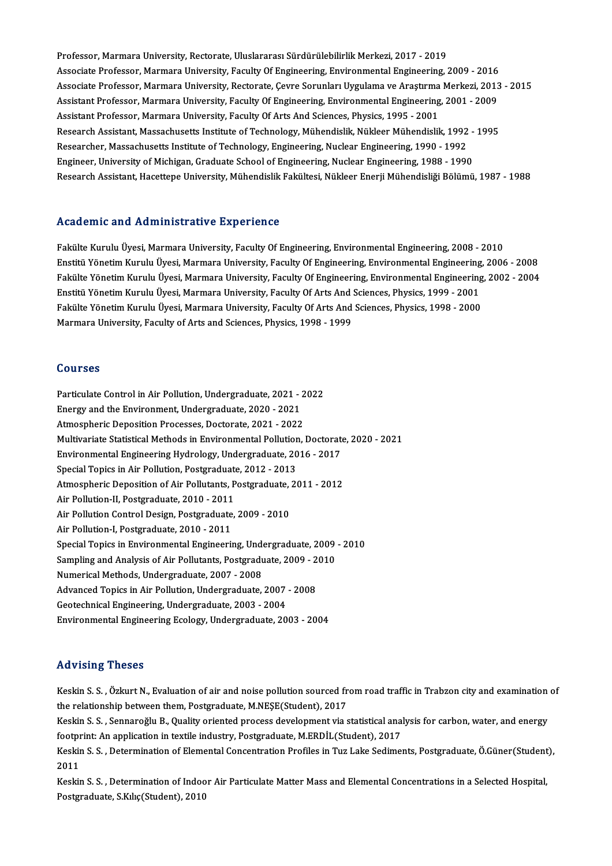Professor, Marmara University, Rectorate, Uluslararası Sürdürülebilirlik Merkezi, 2017 - 2019 Associate Professor, Marmara University, Faculty Of Engineering, Environmental Engineering, 2009 - 2016 Associate Professor, Marmara University, Rectorate, Çevre Sorunları Uygulama ve Araştırma Merkezi, 2013 - 2015 Associate Professor, Marmara University, Faculty Of Engineering, Environmental Engineering, 2009 - 2016<br>Associate Professor, Marmara University, Rectorate, Çevre Sorunları Uygulama ve Araştırma Merkezi, 2013<br>Assistant Prof Associate Professor, Marmara University, Rectorate, Çevre Sorunları Uygulama ve Araştırma<br>Assistant Professor, Marmara University, Faculty Of Engineering, Environmental Engineering<br>Assistant Professor, Marmara University, Assistant Professor, Marmara University, Faculty Of Engineering, Environmental Engineering, 2001 - 2009<br>Assistant Professor, Marmara University, Faculty Of Arts And Sciences, Physics, 1995 - 2001<br>Research Assistant, Massac Assistant Professor, Marmara University, Faculty Of Arts And Sciences, Physics, 1995 - 2001<br>Research Assistant, Massachusetts Institute of Technology, Mühendislik, Nükleer Mühendislik, 1992<br>Researcher, Massachusetts Instit Research Assistant, Massachusetts Institute of Technology, Mühendislik, Nükleer Mühendislik, 1992 -<br>Researcher, Massachusetts Institute of Technology, Engineering, Nuclear Engineering, 1990 - 1992<br>Engineer, University of M Researcher, Massachusetts Institute of Technology, Engineering, Nuclear Engineering, 1990 - 1992<br>Engineer, University of Michigan, Graduate School of Engineering, Nuclear Engineering, 1988 - 1990<br>Research Assistant, Hacett

## Academic and Administrative Experience

Fakülte Kurulu Üyesi, Marmara University, Faculty Of Engineering, Environmental Engineering, 2008 - 2010 reductime und muimmeel derve Enpertence<br>Fakülte Kurulu Üyesi, Marmara University, Faculty Of Engineering, Environmental Engineering, 2008 - 2010<br>Eakülte Vänetim Kurulu Üyesi, Marmara University, Faculty Of Engineering, Env Fakülte Yönetim Kurulu Üyesi, Marmara University, Faculty Of Engineering, Environmental Engineering, 2002 - 2004<br>Enstitü Yönetim Kurulu Üyesi, Marmara University, Faculty Of Arts And Sciences, Physics, 1999 - 2001 Enstitü Yönetim Kurulu Üyesi, Marmara University, Faculty Of Engineering, Environmental Engineering<br>Fakülte Yönetim Kurulu Üyesi, Marmara University, Faculty Of Engineering, Environmental Engineering<br>Enstitü Yönetim Kurulu Fakülte Yönetim Kurulu Üyesi, Marmara University, Faculty Of Engineering, Environmental Engineering<br>Enstitü Yönetim Kurulu Üyesi, Marmara University, Faculty Of Arts And Sciences, Physics, 1999 - 2001<br>Fakülte Yönetim Kurul Enstitü Yönetim Kurulu Üyesi, Marmara University, Faculty Of Arts And<br>Fakülte Yönetim Kurulu Üyesi, Marmara University, Faculty Of Arts And<br>Marmara University, Faculty of Arts and Sciences, Physics, 1998 - 1999 Marmara University, Faculty of Arts and Sciences, Physics, 1998 - 1999<br>Courses

Courses<br>Particulate Control in Air Pollution, Undergraduate, 2021 - 2022<br>Energy and the Environment Undergraduate, 2020, 2021 Eutriculate Control in Air Pollution, Undergraduate, 2021 - .<br>Energy and the Environment, Undergraduate, 2020 - 2021<br>Atmospheris Denesition Prosesses, Desterate, 2021, 2022 Particulate Control in Air Pollution, Undergraduate, 2021 - 2<br>Energy and the Environment, Undergraduate, 2020 - 2021<br>Atmospheric Deposition Processes, Doctorate, 2021 - 2022<br>Multivariate Statistical Mathode in Environmenta Energy and the Environment, Undergraduate, 2020 - 2021<br>Atmospheric Deposition Processes, Doctorate, 2021 - 2022<br>Multivariate Statistical Methods in Environmental Pollution, Doctorate, 2020 - 2021 Atmospheric Deposition Processes, Doctorate, 2021 - 2022<br>Multivariate Statistical Methods in Environmental Pollution, Doctorate<br>Environmental Engineering Hydrology, Undergraduate, 2016 - 2017<br>Special Tenics in Air Pollutio Multivariate Statistical Methods in Environmental Pollution<br>Environmental Engineering Hydrology, Undergraduate, 20<br>Special Topics in Air Pollution, Postgraduate, 2012 - 2013<br>Atmospheric Denosition of Air Pollutante Postgra Environmental Engineering Hydrology, Undergraduate, 2016 - 2017<br>Special Topics in Air Pollution, Postgraduate, 2012 - 2013<br>Atmospheric Deposition of Air Pollutants, Postgraduate, 2011 - 2012<br>Air Pollution II, Postgraduate, Special Topics in Air Pollution, Postgraduate<br>Atmospheric Deposition of Air Pollutants, P<br>Air Pollution-II, Postgraduate, 2010 - 2011<br>Air Pollution Control Dosign, Postgraduate Atmospheric Deposition of Air Pollutants, Postgraduate, 2011 - 2012<br>Air Pollution-II, Postgraduate, 2010 - 2011<br>Air Pollution Control Design, Postgraduate, 2009 - 2010<br>Air Pollution-I, Postgraduate, 2010 - 2011 Air Pollution-II, Postgraduate, 2010 - 2011<br>Air Pollution Control Design, Postgraduate<br>Air Pollution-I, Postgraduate, 2010 - 2011<br>Special Topics in Environmental Engineerii Air Pollution Control Design, Postgraduate, 2009 - 2010<br>Air Pollution-I, Postgraduate, 2010 - 2011<br>Special Topics in Environmental Engineering, Undergraduate, 2009 - 2010<br>Sampling and Analysis of Air Pollutante Postgraduat Air Pollution-I, Postgraduate, 2010 - 2011<br>Special Topics in Environmental Engineering, Undergraduate, 2009<br>Sampling and Analysis of Air Pollutants, Postgraduate, 2009 - 2010<br>Numerical Methods, Undergraduate, 2007 - 2009 Special Topics in Environmental Engineering, Under<br>Sampling and Analysis of Air Pollutants, Postgradu<br>Numerical Methods, Undergraduate, 2007 - 2008<br>Advanced Topics in Air Pollution, Undergraduate Sampling and Analysis of Air Pollutants, Postgraduate, 2009 - 2<br>Numerical Methods, Undergraduate, 2007 - 2008<br>Advanced Topics in Air Pollution, Undergraduate, 2007 - 2008<br>Costesbuical Engineering Undergraduate, 2002 - 2004 Numerical Methods, Undergraduate, 2007 - 2008<br>Advanced Topics in Air Pollution, Undergraduate, 2007<br>Geotechnical Engineering, Undergraduate, 2003 - 2004<br>Environmental Engineering Ecology, Undergraduate, 20 Advanced Topics in Air Pollution, Undergraduate, 2007 - 2008<br>Geotechnical Engineering, Undergraduate, 2003 - 2004<br>Environmental Engineering Ecology, Undergraduate, 2003 - 2004 Environmental Engineering Ecology, Undergraduate, 2003 - 2004<br>Advising Theses

Advising Theses<br>Keskin S. S. , Özkurt N., Evaluation of air and noise pollution sourced from road traffic in Trabzon city and examination of<br>the relationship between them. Pestspeduate M.NESE(Student), 2017 the vieting incode<br>Keskin S. S. , Özkurt N., Evaluation of air and noise pollution sourced fr<br>the relationship between them, Postgraduate, M.NEŞE(Student), 2017<br>Keskin S. S. , Sannaroğlu B. Quality oriented process develop Keskin S. S. , Özkurt N., Evaluation of air and noise pollution sourced from road traffic in Trabzon city and examination<br>the relationship between them, Postgraduate, M.NEŞE(Student), 2017<br>Keskin S. S. , Sennaroğlu B., Qua

the relationship between them, Postgraduate, M.NEŞE(Student), 2017<br>Keskin S. S. , Sennaroğlu B., Quality oriented process development via statistical ana<br>footprint: An application in textile industry, Postgraduate, M.ERDİL Keskin S. S. , Sennaroğlu B., Quality oriented process development via statistical analysis for carbon, water, and energy<br>footprint: An application in textile industry, Postgraduate, M.ERDİL(Student), 2017<br>Keskin S. S. , D

footpr<br>Keskir<br>2011<br>Keskir Keskin S. S. , Determination of Elemental Concentration Profiles in Tuz Lake Sediments, Postgraduate, Ö.Güner(Student<br>2011<br>Keskin S. S. , Determination of Indoor Air Particulate Matter Mass and Elemental Concentrations in

2011<br>Keskin S. S. , Determination of Indoor Air Particulate Matter Mass and Elemental Concentrations in a Selected Hospital,<br>Postgraduate, S.Kılıç(Student), 2010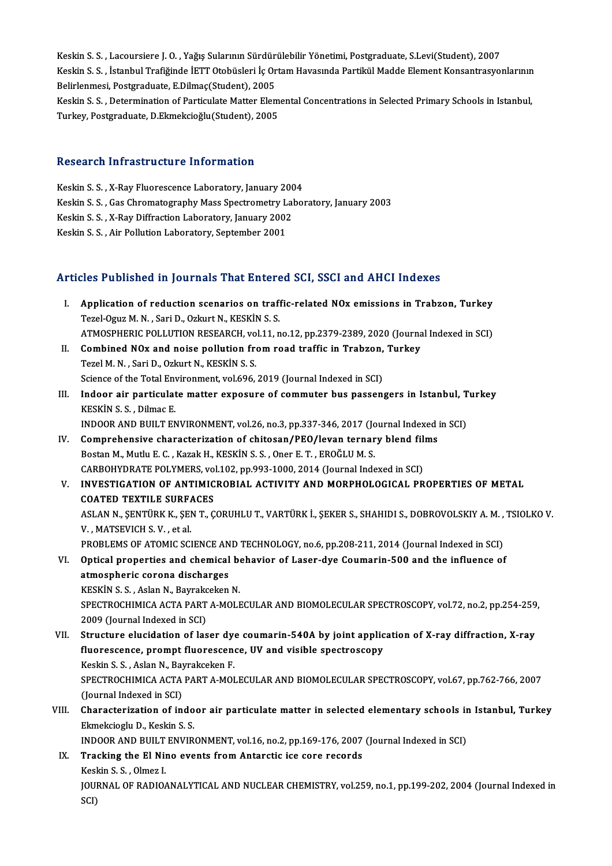Keskin S.S., Lacoursiere J.O., Yağış Sularının Sürdürülebilir Yönetimi, Postgraduate, S.Levi(Student), 2007 Keskin S. S. , Lacoursiere J. O. , Yağış Sularının Sürdürülebilir Yönetimi, Postgraduate, S.Levi(Student), 2007<br>Keskin S. S. , İstanbul Trafiğinde İETT Otobüsleri İç Ortam Havasında Partikül Madde Element Konsantrasyonları Keskin S. S. , Lacoursiere J. O. , Yağış Sularının Sürdür<br>Keskin S. S. , İstanbul Trafiğinde İETT Otobüsleri İç Or<br>Belirlenmesi, Postgraduate, E.Dilmaç(Student), 2005<br>Keskin S. S. , Determination of Bertisulate Metter Fler Keskin S. S. , İstanbul Trafiğinde İETT Otobüsleri İç Ortam Havasında Partikül Madde Element Konsantrasyonlarının<br>Belirlenmesi, Postgraduate, E.Dilmaç(Student), 2005<br>Keskin S. S. , Determination of Particulate Matter Eleme Belirlenmesi, Postgraduate, E.Dilmaç(Student), 2005<br>Keskin S. S. , Determination of Particulate Matter Elemental Concentrations in Selected Primary Schools in Istanbul,<br>Turkey, Postgraduate, D.Ekmekcioğlu(Student), 2005

## Research Infrastructure Information

- Keskin S. S., X-Ray Fluorescence Laboratory, January 2004
- Keskin S.S., Gas Chromatography Mass Spectrometry Laboratory, January 2003 Keskin S. S. , X-Ray Fluorescence Laboratory, January 200<br>Keskin S. S. , Gas Chromatography Mass Spectrometry Lal<br>Keskin S. S. , X-Ray Diffraction Laboratory, January 2002<br>Keskin S. S. , Air Pollution Laboratory, Sontomber Keskin S. S. , Gas Chromatography Mass Spectrometry L<br>Keskin S. S. , X-Ray Diffraction Laboratory, January 2002<br>Keskin S. S. , Air Pollution Laboratory, September 2001
- 
- 

# Keskin S. S. , Air Pollution Laboratory, September 2001<br>Articles Published in Journals That Entered SCI, SSCI and AHCI Indexes

- rticles Published in Journals That Entered SCI, SSCI and AHCI Indexes<br>I. Application of reduction scenarios on traffic-related NOx emissions in Trabzon, Turkey<br>Terel Ozur M.N., Sari D. Orlnut N. KESKIN S.S. Text Theorem I Journals That affects<br>Application of reduction scenarios on traff<br>Tezel-Oguz M. N., Sari D., Ozkurt N., KESKİN S. S.<br>ATMOSPUERIC POLLUTION RESEARCH vol 11 m Application of reduction scenarios on traffic-related NOx emissions in Trabzon, Turkey<br>Tezel-Oguz M. N. , Sari D., Ozkurt N., KESKİN S. S.<br>ATMOSPHERIC POLLUTION RESEARCH, vol.11, no.12, pp.2379-2389, 2020 (Journal Indexed Tezel-Oguz M. N., Sari D., Ozkurt N., KESKİN S. S.<br>ATMOSPHERIC POLLUTION RESEARCH, vol.11, no.12, pp.2379-2389, 2020 (Journa<br>II. Combined NOx and noise pollution from road traffic in Trabzon, Turkey<br>Tegel M. N., Sari D. Og ATMOSPHERIC POLLUTION RESEARCH, vo<br>Combined NOx and noise pollution from<br>Tezel M. N. , Sari D., Ozkurt N., KESKİN S. S.<br>Science of the Tetal Environment vol 606 Combined NOx and noise pollution from road traffic in Trabzon,<br>Tezel M. N. , Sari D., Ozkurt N., KESKİN S. S.<br>Science of the Total Environment, vol.696, 2019 (Journal Indexed in SCI)<br>Indeen air perticulate matter expecure
	-
- Tezel M. N. , Sari D., Ozkurt N., KESKİN S. S.<br>Science of the Total Environment, vol.696, 2019 (Journal Indexed in SCI)<br>III. Indoor air particulate matter exposure of commuter bus passengers in Istanbul, Turkey<br>ERECTIN S. Science of the Total Env<br>Indoor air particulat<br>KESKİN S. S. , Dilmac E.<br>INDOOP AND PHILT EN Indoor air particulate matter exposure of commuter bus passengers in Istanbul, T<br>KESKİN S. S. , Dilmac E.<br>INDOOR AND BUILT ENVIRONMENT, vol.26, no.3, pp.337-346, 2017 (Journal Indexed in SCI)<br>Comprehensive sharesterization KESKİN S. S. , Dilmac E.<br>INDOOR AND BUILT ENVIRONMENT, vol.26, no.3, pp.337-346, 2017 (Journal Indexed in SCI)<br>IV. Comprehensive characterization of chitosan/PEO/levan ternary blend films

- Bostan M., Mutlu E. C., Kazak H., KESKİN S. S., Oner E. T., EROĞLU M. S. Comprehensive characterization of chitosan/PEO/levan ternary blend fil<br>Bostan M., Mutlu E. C. , Kazak H., KESKİN S. S. , Oner E. T. , EROĞLU M. S.<br>CARBOHYDRATE POLYMERS, vol.102, pp.993-1000, 2014 (Journal Indexed in SCI)<br>
- V. INVESTIGATION OF ANTIMICROBIAL ACTIVITY AND MORPHOLOGICAL PROPERTIES OF METAL CARBOHYDRATE POLYMERS, vol<br>INVESTIGATION OF ANTIMIC<br>COATED TEXTILE SURFACES ASLAN N., ŞENTÜRK K., ŞEN T., ÇORUHLU T., VARTÜRK İ., ŞEKER S., SHAHIDI S., DOBROVOLSKIY A. M. , TSIOLKO V.<br>V. , MATSEVICH S. V. , et al. COATED TEXTILE SURFACES ASLAN N., ŞENTÜRK K., ŞEN T., ÇORUHLU T., VARTÜRK İ., ŞEKER S., SHAHIDI S., DOBROVOLSKIY A. M. ,<br>V. , MATSEVICH S. V. , et al.<br>PROBLEMS OF ATOMIC SCIENCE AND TECHNOLOGY, no.6, pp.208-211, 2014 (Journal Indexed in SCI)<br>Onti V., MATSEVICH S.V., et al.<br>PROBLEMS OF ATOMIC SCIENCE AND TECHNOLOGY, no.6, pp.208-211, 2014 (Journal Indexed in SCI)<br>VI. Optical properties and chemical behavior of Laser-dye Coumarin-500 and the influence of<br>atmospharis
- PROBLEMS OF ATOMIC SCIENCE AN<br>Optical properties and chemical<br>atmospheric corona discharges<br>PESVIN S.S. Aslan N. Bauraksakan Optical properties and chemical be<br>atmospheric corona discharges<br>KESKİN S. S. , Aslan N., Bayrakceken N.<br>SPECTPOCHIMICA ACTA PAPT A MOLE

atmospheric corona discharges<br>KESKİN S. S. , Aslan N., Bayrakceken N.<br>SPECTROCHIMICA ACTA PART A-MOLECULAR AND BIOMOLECULAR SPECTROSCOPY, vol.72, no.2, pp.254-259,<br>2009 (Journal Indexed in SCI) KESKİN S. S. , Aslan N., Bayrako<br>SPECTROCHIMICA ACTA PART<br>2009 (Journal Indexed in SCI)<br>Structure elugidation of las SPECTROCHIMICA ACTA PART A-MOLECULAR AND BIOMOLECULAR SPECTROSCOPY, vol.72, no.2, pp.254-259<br>2009 (Journal Indexed in SCI)<br>VII. Structure elucidation of laser dye coumarin-540A by joint application of X-ray diffraction, X-

- 2009 (Journal Indexed in SCI)<br>Structure elucidation of laser dye coumarin-540A by joint applic<br>fluorescence, prompt fluorescence, UV and visible spectroscopy<br>Keskin S.S., Aslan N. Bayraksakan E Structure elucidation of laser dy<br>fluorescence, prompt fluorescene<br>Keskin S. S. , Aslan N., Bayrakceken F.<br>SPECTROCHIMICA ACTA RAPT A MOI fluorescence, prompt fluorescence, UV and visible spectroscopy<br>Keskin S. S. , Aslan N., Bayrakceken F.<br>SPECTROCHIMICA ACTA PART A-MOLECULAR AND BIOMOLECULAR SPECTROSCOPY, vol.67, pp.762-766, 2007<br>(Jaurnal Indoved in SCI) Keskin S. S. , Aslan N., Bay<br>SPECTROCHIMICA ACTA<br>(Journal Indexed in SCI)<br>Sharactarization of in SPECTROCHIMICA ACTA PART A-MOLECULAR AND BIOMOLECULAR SPECTROSCOPY, vol.67, pp.762-766, 2007<br>(Journal Indexed in SCI)<br>VIII. Characterization of indoor air particulate matter in selected elementary schools in Istanbul, Turk
- (Journal Indexed in SCI)<br>Characterization of indo<br>Ekmekcioglu D., Keskin S. S. VIII. Characterization of indoor air particulate matter in selected elementary schools in Istanbul, Turkey

INDOOR AND BUILT ENVIRONMENT, vol.16, no.2, pp.169-176, 2007 (Journal Indexed in SCI)

IX. Tracking the El Nino events from Antarctic ice core records

JOURNAL OF RADIOANALYTICAL AND NUCLEAR CHEMISTRY, vol.259, no.1, pp.199-202, 2004 (Journal Indexed in<br>SCI) Keskin S. S., Olmez I.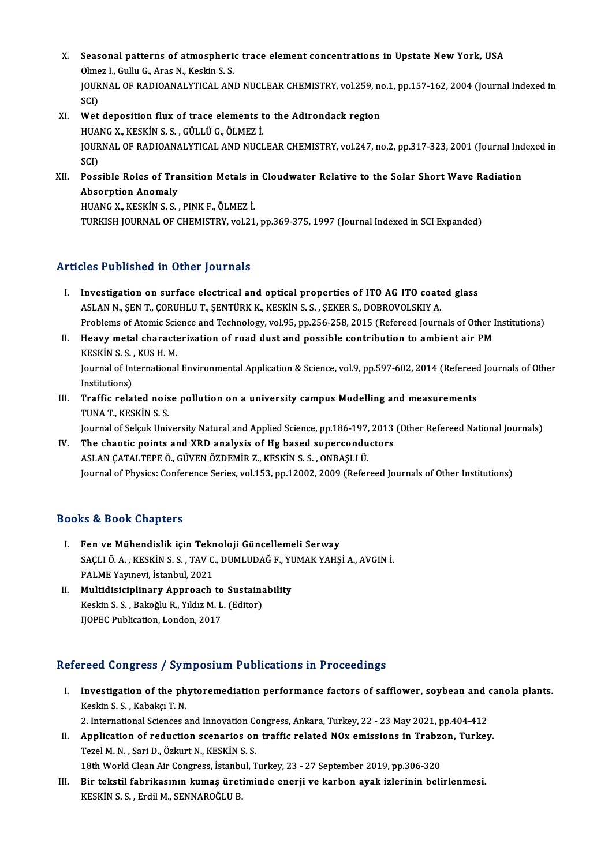- X. Seasonal patterns of atmospheric trace element concentrations in Upstate New York, USA<br>Qlmer L. Gully G. Aree N. Keekin S. S. Seasonal patterns of atmospheric<br>Olmez I., Gullu G., Aras N., Keskin S. S.<br>JOUPNAL OF PADJOANAL YTICAL AN Seasonal patterns of atmospheric trace element concentrations in Upstate New York, USA<br>Olmez I., Gullu G., Aras N., Keskin S. S.<br>JOURNAL OF RADIOANALYTICAL AND NUCLEAR CHEMISTRY, vol.259, no.1, pp.157-162, 2004 (Journal In Olme<br>JOUR<br>SCI)<br>Wet JOURNAL OF RADIOANALYTICAL AND NUCLEAR CHEMISTRY, vol.259, no<br>SCI)<br>XI. Wet deposition flux of trace elements to the Adirondack region<br>HILANC Y. KESKIN S.S. CÜLLÜ C. ÖLMEZ İ
- SCI)<br>Wet deposition flux of trace elements t<br>HUANG X., KESKİN S. S. , GÜLLÜ G., ÖLMEZ İ.<br>JOUPNAL OE PADJOANALYTICAL AND NUCL Wet deposition flux of trace elements to the Adirondack region<br>HUANG X., KESKİN S. S. , GÜLLÜ G., ÖLMEZ İ.<br>JOURNAL OF RADIOANALYTICAL AND NUCLEAR CHEMISTRY, vol.247, no.2, pp.317-323, 2001 (Journal Indexed in<br>SCD HUA<br>JOUR<br>SCI)<br>Boss JOURNAL OF RADIOANALYTICAL AND NUCLEAR CHEMISTRY, vol.247, no.2, pp.317-323, 2001 (Journal Ind<br>SCI)<br>XII. Possible Roles of Transition Metals in Cloudwater Relative to the Solar Short Wave Radiation<br>Absorption Anomaly
- SCI)<br>Possible Roles of Tra<br>Absorption Anomaly<br>HUANC Y *V*ECVIN S S Possible Roles of Transition Metals in<br>Absorption Anomaly<br>HUANG X., KESKİN S. S. , PINK F., ÖLMEZ İ.<br>TURKISH JOURNAL OF CHEMISTRY vel 21

Absorption Anomaly<br>HUANG X., KESKİN S. S. , PINK F., ÖLMEZ İ.<br>TURKISH JOURNAL OF CHEMISTRY, vol.21, pp.369-375, 1997 (Journal Indexed in SCI Expanded)

## Articles Published in Other Journals

- I. Investigation on surface electrical and optical properties of ITO AG ITO coated glass ASLAN N., ŞEN T., ÇORUHLU T., ŞENTÜRK K., KESKİN S. S. , ŞEKER S., DOBROVOLSKIY A. Investigation on surface electrical and optical properties of ITO AG ITO coated glass<br>ASLAN N., ŞEN T., ÇORUHLU T., ŞENTÜRK K., KESKİN S. S. , ŞEKER S., DOBROVOLSKIY A.<br>Problems of Atomic Science and Technology, vol.95, pp
- II. Heavy metal characterization of road dust and possible contribution to ambient air PM<br>KESKIN S. S., KUS H. M. Problems of Atomic Science<br>Heavy metal characte<br>KESKİN S. S. , KUS H. M.<br>Journal of International Heavy metal characterization of road dust and possible contribution to ambient air PM<br>KESKİN S. S. , KUS H. M.<br>Journal of International Environmental Application & Science, vol.9, pp.597-602, 2014 (Refereed Journals of Oth KESKİN S. S.<br>Journal of Int<br>Institutions)<br>Traffic rola: Journal of International Environmental Application & Science, vol.9, pp.597-602, 2014 (Refereed<br>Institutions)<br>III. Traffic related noise pollution on a university campus Modelling and measurements<br>TIMAT KESKIN S S
- Institutions)<br>Traffic related nois<br>TUNA T., KESKİN S. S.<br>Journal of Solauk Unis Traffic related noise pollution on a university campus Modelling and measurements<br>TUNA T., KESKİN S. S.<br>Journal of Selçuk University Natural and Applied Science, pp.186-197, 2013 (Other Refereed National Journals)<br>The shao

TUNA T., KESKIN S. S.<br>Journal of Selçuk University Natural and Applied Science, pp.186-197, 2013<br>IV. The chaotic points and XRD analysis of Hg based superconductors<br>ASLAN CATALTEPE Ö., GÜVEN ÖZDEMIR Z., KESKIN S. S. , ONBA Journal of Selçuk University Natural and Applied Science, pp.186-197,<br>The chaotic points and XRD analysis of Hg based supercondu<br>ASLAN ÇATALTEPE Ö., GÜVEN ÖZDEMİR Z., KESKİN S. S. , ONBAŞLI Ü.<br>Journal of Physics: Conferenc Journal of Physics: Conference Series, vol.153, pp.12002, 2009 (Refereed Journals of Other Institutions)

## Books&Book Chapters

- ooks & Book Chapters<br>I. Fen ve Mühendislik için Teknoloji Güncellemeli Serway<br>SACUÖ A. KESKİN S.S. TAV C. DUMUDAĞE YUMAK YAHS SAÇLI Ö. A. , KESKİN S. S. , TAV C., DUMLUDAĞ F., YUMAK YAHŞİ A., AVGIN İ.<br>PALME Yayınevi, İstanbul, 2021 Fen ve Mühendislik için Tekr<br>SAÇLI Ö. A. , KESKİN S. S. , TAV C.<br>PALME Yayınevi, İstanbul, 2021<br>Multidisisinlinarı: Annroash SAÇLI Ö. A., KESKİN S. S., TAV C., DUMLUDAĞ F., YU<br>PALME Yayınevi, İstanbul, 2021<br>II. Multidisiciplinary Approach to Sustainability<br>Keskin S. S., Bakağlu B. Vikiy M. L. (Editor)
- PALME Yayınevi, İstanbul, 2021<br>Multidisiciplinary Approach to Sustaina<br>Keskin S. S. , Bakoğlu R., Yıldız M. L. (Editor)<br>HOPEC Publisation Landan 2017 Multidisiciplinary Approach to<br>Keskin S. S. , Bakoğlu R., Yıldız M. L<br>IJOPEC Publication, London, 2017

# IJOPEC Publication, London, 2017<br>Refereed Congress / Symposium Publications in Proceedings

efereed Congress / Symposium Publications in Proceedings<br>I. Investigation of the phytoremediation performance factors of safflower, soybean and canola plants. Investigation of the ph<br>Keskin S.S., Kabakçı T.N.<br>2. International Sciences o Investigation of the phytoremediation performance factors of safflower, soybean and (<br>Keskin S. S. , Kabakçı T. N.<br>2. International Sciences and Innovation Congress, Ankara, Turkey, 22 - 23 May 2021, pp.404-412<br>Annligation

Keskin S. S. , Kabakçı T. N.<br>2. International Sciences and Innovation Congress, Ankara, Turkey, 22 - 23 May 2021, pp.404-412<br>3. II. Application of reduction scenarios on traffic related NOx emissions in Trabzon, Turkey.<br>Te 2. International Sciences and Innovation Conditional Sciences and Innovation Conditional Sciences<br>Tezel M.N., Sari D., Özkurt N., KESKİNS.S.<br>19th World Clean Air Congress, İstanbul T Application of reduction scenarios on traffic related NOx emissions in Trabzor<br>Tezel M. N. , Sari D., Özkurt N., KESKİN S. S.<br>18th World Clean Air Congress, İstanbul, Turkey, 23 - 27 September 2019, pp.306-320<br>Bir tekstil

18th World Clean Air Congress, İstanbul, Turkey, 23 - 27 September 2019, pp.306-320

Tezel M. N. , Sari D., Özkurt N., KESKİN S. S.<br>18th World Clean Air Congress, İstanbul, Turkey, 23 - 27 September 2019, pp.306-320<br>III. Bir tekstil fabrikasının kumaş üretiminde enerji ve karbon ayak izlerinin belirlen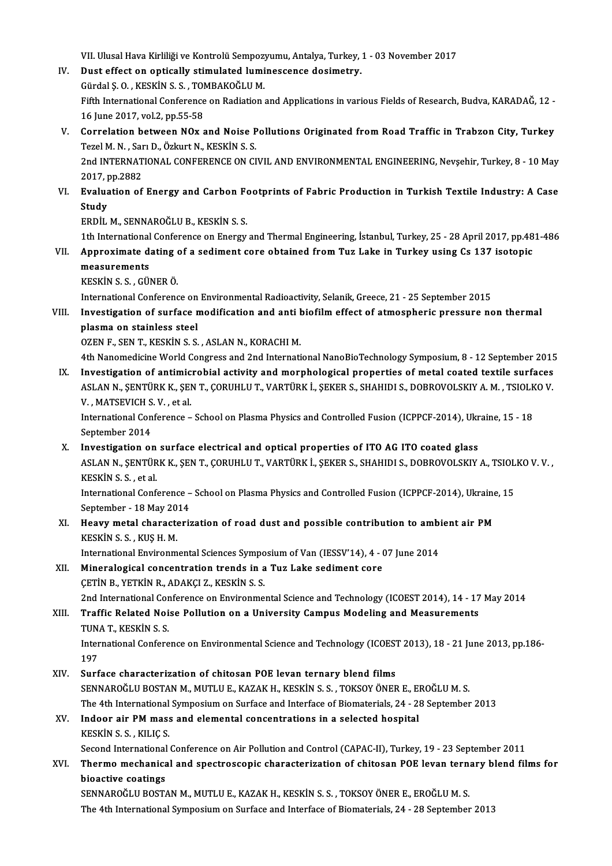VII. Ulusal Hava Kirliliği ve Kontrolü Sempozyumu, Antalya, Turkey, 1 - 03 November 2017<br>Pust effect en enticelly stimulated luminessense desimetry

IV. Dust effect on optically stimulated luminescence dosimetry. VII. Ulusal Hava Kirliliği ve Kontrolü Sempoz<br>Dust effect on optically stimulated lumi<br>Gürdal Ş. O. , KESKİN S. S. , TOMBAKOĞLU M.<br>Eifth International Conference on Bediation

Gürdal S. O., KESKİN S. S., TOMBAKOĞLU M.

Fifth International Conference on Radiation and Applications in various Fields of Research, Budva, KARADAĞ, 12 -<br>16 June 2017, vol.2, pp.55-58 Fifth International Conference on Radiation and Applications in various Fields of Research, Budva, KARADAĞ, 12<br>16 June 2017, vol.2, pp.55-58<br>V. Correlation between NOx and Noise Pollutions Originated from Road Traffic in T

16 June 2017, vol.2, pp.55-58<br>Correlation between NOx and Noise P<br>Tezel M. N. , Sarı D., Özkurt N., KESKİN S. S.<br>2nd INTERNATIONAL CONEERENCE ON CL Correlation between NOx and Noise Pollutions Originated from Road Traffic in Trabzon City, Turkey<br>Tezel M. N. , Sarı D., Özkurt N., KESKİN S. S.<br>2nd INTERNATIONAL CONFERENCE ON CIVIL AND ENVIRONMENTAL ENGINEERING, Nevşehir

Tezel M. N. , Sar<br>2nd INTERNAT<br>2017, pp.2882<br>Evaluation of 2nd INTERNATIONAL CONFERENCE ON CIVIL AND ENVIRONMENTAL ENGINEERING, Nevşehir, Turkey, 8 - 10 May<br>2017, pp.2882<br>VI. Evaluation of Energy and Carbon Footprints of Fabric Production in Turkish Textile Industry: A Case<br>Stud

2017, p<br><mark>Evalua</mark><br>Study<br>Eppir Evaluation of Energy and Carbon Fe<br>Study<br>ERDİL M., SENNAROĞLU B., KESKİN S. S.<br>1th International Conference on Energy Study<br>1th International Conference on Energy and Thermal Engineering, İstanbul, Turkey, 25 - 28 April 2017, pp.481-486<br>1th International Conference on Energy and Thermal Engineering, İstanbul, Turkey, 25 - 28 April 2017, p

ERDİL M., SENNAROĞLU B., KESKİN S. S.<br>1th International Conference on Energy and Thermal Engineering, İstanbul, Turkey, 25 - 28 April 2017, pp.48<br>VII. Approximate dating of a sediment core obtained from Tuz Lake in Tur 1th International<br>Approximate d<br>measurements<br>*v*revin s s cin Approximate dating<br>measurements<br>KESKİN S.S., GÜNER Ö.<br>International Conferenc measurements<br>KESKİN S. S. , GÜNER Ö.<br>International Conference on Environmental Radioactivity, Selanik, Greece, 21 - 25 September 2015<br>Investigation of surface modification and anti-biofilm offest of atmospheria pressure, n

KESKIN S. S. , GÜNER Ö.<br>International Conference on Environmental Radioactivity, Selanik, Greece, 21 - 25 September 2015<br>VIII. Investigation of surface modification and anti biofilm effect of atmospheric pressure non therm International Conference on<br>Investigation of surface r<br>plasma on stainless steel<br>OZEN E. SEN T. KESKIN S. S.

OZEN F., SEN T., KESKİN S. S., ASLAN N., KORACHIM.

- 4th Nanomedicine World Congress and 2nd International NanoBioTechnology Symposium, 8 12 September 2015 IX. Investigation of antimicrobial activity and morphological properties of metal coated textile surfaces 4th Nanomedicine World Congress and 2nd International NanoBioTechnology Symposium, 8 - 12 September 2015<br>Investigation of antimicrobial activity and morphological properties of metal coated textile surfaces<br>ASLAN N., ŞENTÜ Investigation of antimic<br>ASLAN N., ŞENTÜRK K., ŞEI<br>V. , MATSEVICH S. V. , et al.<br>International Conference
	-

ASLAN N., ŞENTÜRK K., ŞEN T., ÇORUHLU T., VARTÜRK İ., ŞEKER S., SHAHIDI S., DOBROVOLSKIY A. M. , TSIOLK<br>V. , MATSEVICH S. V. , et al.<br>International Conference – School on Plasma Physics and Controlled Fusion (ICPPCF-2014), V. , MATSEVICH S. V. , et al.<br>International Conference – School on Plasma Physics and Controlled Fusion (ICPPCF-2014), Ukraine, 15 - 18<br>September 2014 International Conference – School on Plasma Physics and Controlled Fusion (ICPPCF-2014), Ukr<br>September 2014<br>X. Investigation on surface electrical and optical properties of ITO AG ITO coated glass<br>ASLAN N. SENTÜRK K. SEN.T

September 2014<br>Investigation on surface electrical and optical properties of ITO AG ITO coated glass<br>ASLAN N., ŞENTÜRK K., ŞEN T., ÇORUHLU T., VARTÜRK İ., ŞEKER S., SHAHIDI S., DOBROVOLSKIY A., TSIOLKO V. V. ,<br>KESKİN S. S. I<mark>nvestigation on</mark><br>ASLAN N., ŞENTÜR<br>KESKİN S. S. , et al.<br>International Conf ASLAN N., ŞENTÜRK K., ŞEN T., ÇORUHLU T., VARTÜRK İ., ŞEKER S., SHAHIDI S., DOBROVOLSKIY A., TSIOL<br>KESKİN S. S. , et al.<br>International Conference – School on Plasma Physics and Controlled Fusion (ICPPCF-2014), Ukraine, 15<br>

KESKİN S. S. , et al.<br>International Conference – School on Plasma Physics and Controlled Fusion (ICPPCF-2014), Ukraine, 15<br>September - 18 May 2014 International Conference – School on Plasma Physics and Controlled Fusion (ICPPCF-2014), Ukraine<br>September - 18 May 2014<br>XI. Heavy metal characterization of road dust and possible contribution to ambient air PM<br>VECVIN S. S

September - 18 May 20<br>Heavy metal characte<br>KESKİN S. S. , KUŞ H. M.<br>International Environm Heavy metal characterization of road dust and possible contribution to ambi<br>KESKİN S. S. , KUŞ H. M.<br>International Environmental Sciences Symposium of Van (IESSV'14), 4 - 07 June 2014<br>Mineralesisel sensentration trands in

- KESKİN S. S. , KUŞ H. M.<br>International Environmental Sciences Symposium of Van (IESSV'14), 4 (<br>XII. Mineralogical concentration trends in a Tuz Lake sediment core<br>CETIN B. VETKİN B. ADAKÇI Z. KESKİN S. S. International Environmental Sciences Sympo<br>Mineralogical concentration trends in a<br>ÇETİN B., YETKİN R., ADAKÇI Z., KESKİN S. S.<br>2nd International Conference on Environme 2nd InternationalConference onEnvironmentalScience andTechnology (ICOEST2014),14 -17May2014 CETIN B., YETKIN R., ADAKÇI Z., KESKIN S. S.<br>2nd International Conference on Environmental Science and Technology (ICOEST 2014), 14 - 17<br>XIII. Traffic Related Noise Pollution on a University Campus Modeling and Measure
- 2nd International Corn<br>Traffic Related Noi<br>TUNA T., KESKİN S. S.<br>International Confore Traffic Related Noise Pollution on a University Campus Modeling and Measurements<br>TUNA T., KESKİN S. S.<br>International Conference on Environmental Science and Technology (ICOEST 2013), 18 - 21 June 2013, pp.186-<br>197

TUN<br>Inter<br>197<br>Surf XIV. Surface characterization of chitosan POE levan ternary blend films

SENNAROĞLU BOSTAN M., MUTLU E., KAZAK H., KESKİN S. S., TOKSOY ÖNER E., EROĞLU M. S. Surface characterization of chitosan POE levan ternary blend films<br>SENNAROĞLU BOSTAN M., MUTLU E., KAZAK H., KESKİN S. S. , TOKSOY ÖNER E., EROĞLU M. S.<br>The 4th International Symposium on Surface and Interface of Biomateri

## XV. Indoor air PM mass and elemental concentrations in a selected hospital<br>KESKIN S.S., KILIC S. The 4th International<br>Indoor air PM mass<br>KESKİN S.S., KILIÇ S.<br>Second International

Second International Conference on Air Pollution and Control (CAPAC-II), Turkey, 19 - 23 September 2011

KESKİN S. S. , KILIÇ S.<br>Second International Conference on Air Pollution and Control (CAPAC-II), Turkey, 19 - 23 September 2011<br>XVI. Thermo mechanical and spectroscopic characterization of chitosan POE levan ternary bl Second International<br>Thermo mechanica<br>bioactive coatings<br>SENNAROČI U POST/ Thermo mechanical and spectroscopic characterization of chitosan POE levan tern:<br>bioactive coatings<br>SENNAROĞLU BOSTAN M., MUTLU E., KAZAK H., KESKİN S. S. , TOKSOY ÖNER E., EROĞLU M. S.<br>The 4th International Sumpesium on S

bioactive coatings<br>SENNAROĞLU BOSTAN M., MUTLU E., KAZAK H., KESKİN S. S. , TOKSOY ÖNER E., EROĞLU M. S.<br>The 4th International Symposium on Surface and Interface of Biomaterials, 24 - 28 September 2013